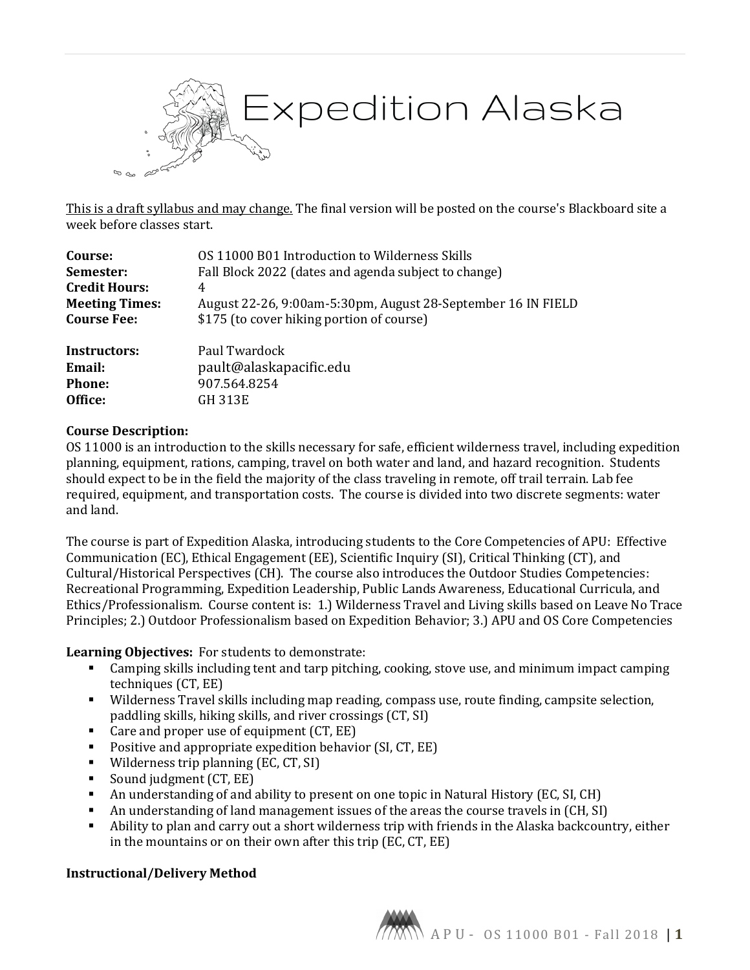

This is a draft syllabus and may change. The final version will be posted on the course's Blackboard site a week before classes start.

| Course:               | OS 11000 B01 Introduction to Wilderness Skills               |
|-----------------------|--------------------------------------------------------------|
| Semester:             | Fall Block 2022 (dates and agenda subject to change)         |
| <b>Credit Hours:</b>  | 4                                                            |
| <b>Meeting Times:</b> | August 22-26, 9:00am-5:30pm, August 28-September 16 IN FIELD |
| <b>Course Fee:</b>    | \$175 (to cover hiking portion of course)                    |
| <b>Instructors:</b>   | Paul Twardock                                                |
| Email:                | pault@alaskapacific.edu                                      |
| Phone:                | 907.564.8254                                                 |
| Office:               | GH 313E                                                      |

#### **Course Description:**

OS 11000 is an introduction to the skills necessary for safe, efficient wilderness travel, including expedition planning, equipment, rations, camping, travel on both water and land, and hazard recognition. Students should expect to be in the field the majority of the class traveling in remote, off trail terrain. Lab fee required, equipment, and transportation costs. The course is divided into two discrete segments: water and land.

The course is part of Expedition Alaska, introducing students to the Core Competencies of APU: Effective Communication (EC), Ethical Engagement (EE), Scientific Inquiry (SI), Critical Thinking (CT), and Cultural/Historical Perspectives (CH). The course also introduces the Outdoor Studies Competencies: Recreational Programming, Expedition Leadership, Public Lands Awareness, Educational Curricula, and Ethics/Professionalism. Course content is: 1.) Wilderness Travel and Living skills based on Leave No Trace Principles; 2.) Outdoor Professionalism based on Expedition Behavior; 3.) APU and OS Core Competencies

**Learning Objectives:** For students to demonstrate:

- Camping skills including tent and tarp pitching, cooking, stove use, and minimum impact camping techniques (CT, EE)
- Wilderness Travel skills including map reading, compass use, route finding, campsite selection, paddling skills, hiking skills, and river crossings (CT, SI)
- Care and proper use of equipment (CT, EE)
- **Positive and appropriate expedition behavior (SI, CT, EE)**
- Wilderness trip planning (EC, CT, SI)
- Sound judgment (CT, EE)
- An understanding of and ability to present on one topic in Natural History (EC, SI, CH)<br>An understanding of land management issues of the areas the course travels in CCH. SI
- An understanding of land management issues of the areas the course travels in (CH, SI)<br>Ability to plan and carry out a short wilderness trip with friends in the Alaska backcoun
- Ability to plan and carry out a short wilderness trip with friends in the Alaska backcountry, either in the mountains or on their own after this trip (EC, CT, EE)

#### **Instructional/Delivery Method**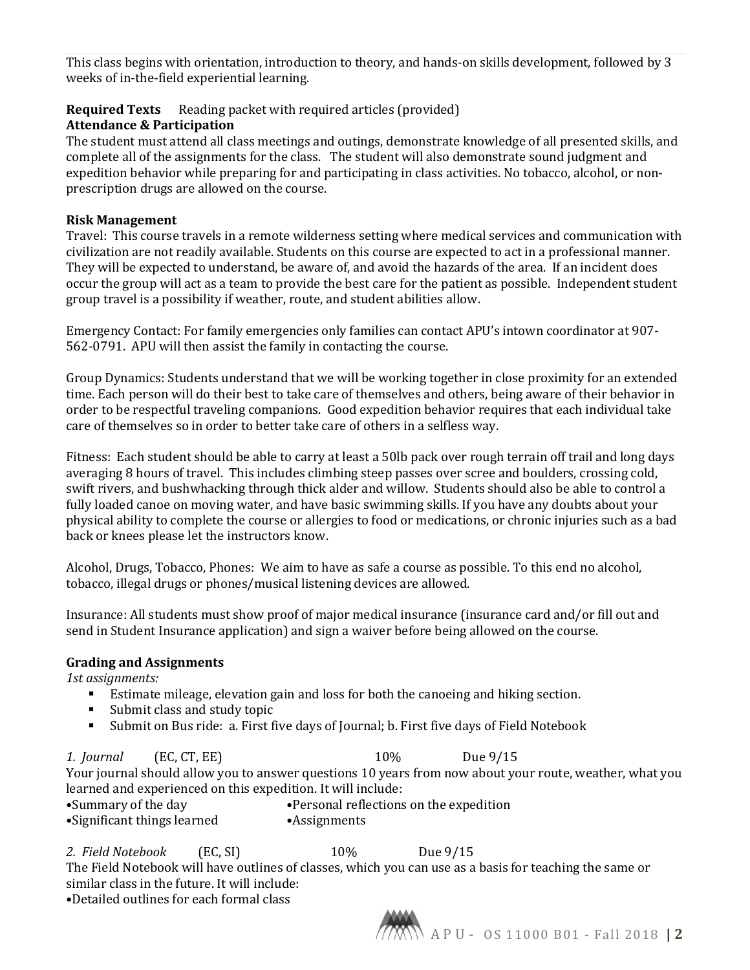This class begins with orientation, introduction to theory, and hands-on skills development, followed by 3 weeks of in-the-field experiential learning.

# **Required Texts** Reading packet with required articles (provided)

## **Attendance & Participation**

The student must attend all class meetings and outings, demonstrate knowledge of all presented skills, and complete all of the assignments for the class. The student will also demonstrate sound judgment and expedition behavior while preparing for and participating in class activities. No tobacco, alcohol, or nonprescription drugs are allowed on the course.

## **Risk Management**

Travel: This course travels in a remote wilderness setting where medical services and communication with civilization are not readily available. Students on this course are expected to act in a professional manner. They will be expected to understand, be aware of, and avoid the hazards of the area. If an incident does occur the group will act as a team to provide the best care for the patient as possible. Independent student group travel is a possibility if weather, route, and student abilities allow.

Emergency Contact: For family emergencies only families can contact APU's intown coordinator at 907- 562-0791. APU will then assist the family in contacting the course.

Group Dynamics: Students understand that we will be working together in close proximity for an extended time. Each person will do their best to take care of themselves and others, being aware of their behavior in order to be respectful traveling companions. Good expedition behavior requires that each individual take care of themselves so in order to better take care of others in a selfless way.

Fitness: Each student should be able to carry at least a 50lb pack over rough terrain off trail and long days averaging 8 hours of travel. This includes climbing steep passes over scree and boulders, crossing cold, swift rivers, and bushwhacking through thick alder and willow. Students should also be able to control a fully loaded canoe on moving water, and have basic swimming skills. If you have any doubts about your physical ability to complete the course or allergies to food or medications, or chronic injuries such as a bad back or knees please let the instructors know.

Alcohol, Drugs, Tobacco, Phones: We aim to have as safe a course as possible. To this end no alcohol, tobacco, illegal drugs or phones/musical listening devices are allowed.

Insurance: All students must show proof of major medical insurance (insurance card and/or fill out and send in Student Insurance application) and sign a waiver before being allowed on the course.

## **Grading and Assignments**

*1st assignments:* 

- Estimate mileage, elevation gain and loss for both the canoeing and hiking section.<br>■ Submit class and study topic
- Submit class and study topic
- Submit on Bus ride: a. First five days of Journal; b. First five days of Field Notebook

*1. Journal* (EC, CT, EE) 10% Due 9/15 Your journal should allow you to answer questions 10 years from now about your route, weather, what you learned and experienced on this expedition. It will include:<br>•Summary of the day •Personal reflections

•Personal reflections on the expedition<br>•Assignments •Significant things learned

### *2. Field Notebook* (EC, SI) 10% Due 9/15

The Field Notebook will have outlines of classes, which you can use as a basis for teaching the same or similar class in the future. It will include:

•Detailed outlines for each formal class

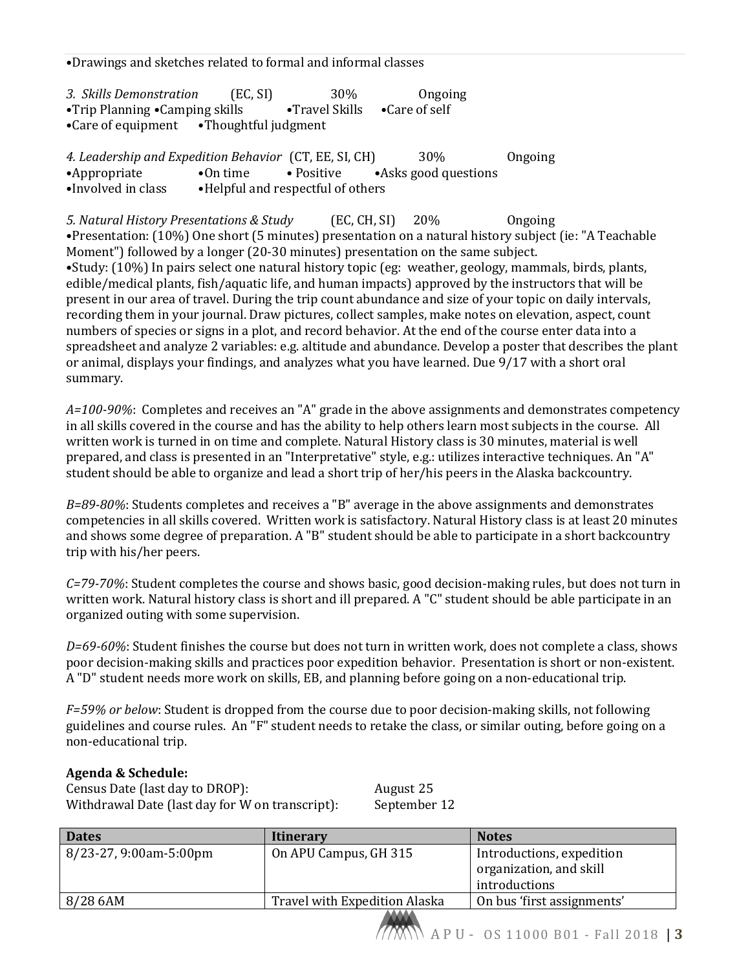•Drawings and sketches related to formal and informal classes

*3. Skills Demonstration* (EC, SI) 30% Ongoing<br>•Trip Planning •Camping skills • Travel Skills •Care of self •Trip Planning •Camping skills<br>•Care of equipment •Though •Thoughtful judgment

| 4. Leadership and Expedition Behavior (CT, EE, SI, CH) |                                    |            | 30%                  | Ongoing |
|--------------------------------------------------------|------------------------------------|------------|----------------------|---------|
| •Appropriate                                           | $\bullet$ On time                  | • Positive | •Asks good questions |         |
| •Involved in class                                     | • Helpful and respectful of others |            |                      |         |

*5. Natural History Presentations & Study* (EC, CH, SI) 20% Ongoing •Presentation: (10%) One short (5 minutes) presentation on a natural history subject (ie: "A Teachable Moment") followed by a longer (20-30 minutes) presentation on the same subject. •Study: (10%) In pairs select one natural history topic (eg: weather, geology, mammals, birds, plants, edible/medical plants, fish/aquatic life, and human impacts) approved by the instructors that will be present in our area of travel. During the trip count abundance and size of your topic on daily intervals, recording them in your journal. Draw pictures, collect samples, make notes on elevation, aspect, count numbers of species or signs in a plot, and record behavior. At the end of the course enter data into a spreadsheet and analyze 2 variables: e.g. altitude and abundance. Develop a poster that describes the plant or animal, displays your findings, and analyzes what you have learned. Due 9/17 with a short oral summary.

*A=100-90%*: Completes and receives an "A" grade in the above assignments and demonstrates competency in all skills covered in the course and has the ability to help others learn most subjects in the course. All written work is turned in on time and complete. Natural History class is 30 minutes, material is well prepared, and class is presented in an "Interpretative" style, e.g.: utilizes interactive techniques. An "A" student should be able to organize and lead a short trip of her/his peers in the Alaska backcountry.

*B=89-80%*: Students completes and receives a "B" average in the above assignments and demonstrates competencies in all skills covered. Written work is satisfactory. Natural History class is at least 20 minutes and shows some degree of preparation. A "B" student should be able to participate in a short backcountry trip with his/her peers.

*C=79-70%*: Student completes the course and shows basic, good decision-making rules, but does not turn in written work. Natural history class is short and ill prepared. A "C" student should be able participate in an organized outing with some supervision.

*D=69-60%*: Student finishes the course but does not turn in written work, does not complete a class, shows poor decision-making skills and practices poor expedition behavior. Presentation is short or non-existent. A "D" student needs more work on skills, EB, and planning before going on a non-educational trip.

*F=59% or below*: Student is dropped from the course due to poor decision-making skills, not following guidelines and course rules. An "F" student needs to retake the class, or similar outing, before going on a non-educational trip.

#### **Agenda & Schedule:**

Census Date (last day to DROP): <br>Withdrawal Date (last day for W on transcript): September 12 Withdrawal Date (last day for W on transcript):

**Dates Itinerary Itinerary Itinerally** 8/23-27, 9:00am-5:00pm On APU Campus, GH 315 Introductions, expedition organization, and skill introductions<br>On bus 'first assignments' 8/28 6AM Travel with Expedition Alaska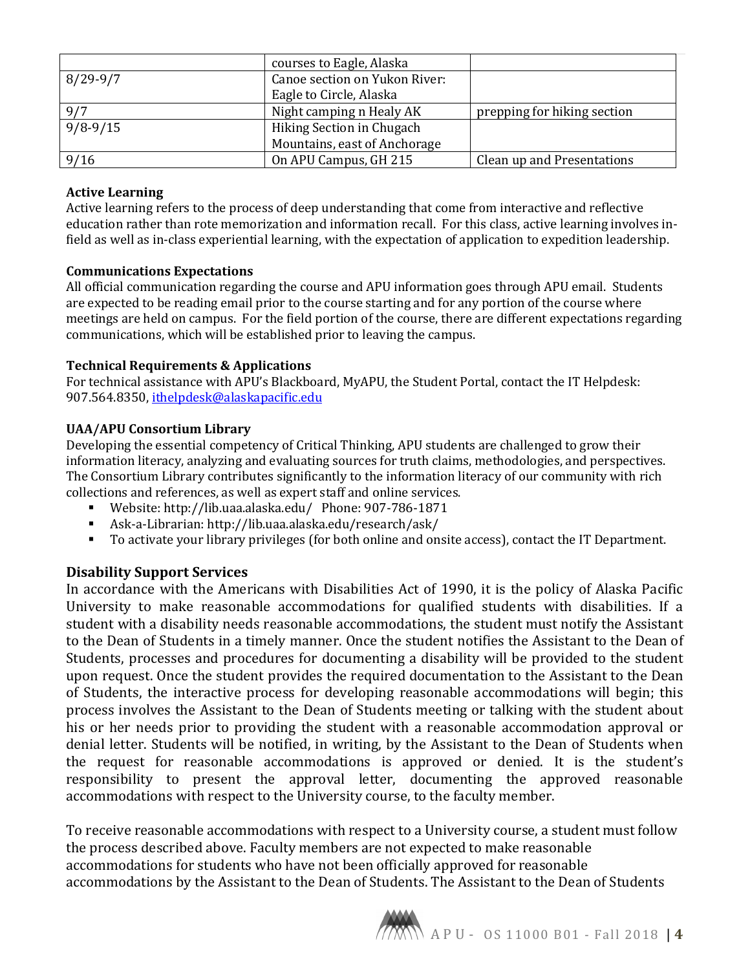|            | courses to Eagle, Alaska      |                             |
|------------|-------------------------------|-----------------------------|
| $8/29-9/7$ | Canoe section on Yukon River: |                             |
|            | Eagle to Circle, Alaska       |                             |
| 9/7        | Night camping n Healy AK      | prepping for hiking section |
| $9/8-9/15$ | Hiking Section in Chugach     |                             |
|            | Mountains, east of Anchorage  |                             |
| 9/16       | On APU Campus, GH 215         | Clean up and Presentations  |

## **Active Learning**

Active learning refers to the process of deep understanding that come from interactive and reflective education rather than rote memorization and information recall. For this class, active learning involves infield as well as in-class experiential learning, with the expectation of application to expedition leadership.

### **Communications Expectations**

All official communication regarding the course and APU information goes through APU email. Students are expected to be reading email prior to the course starting and for any portion of the course where meetings are held on campus. For the field portion of the course, there are different expectations regarding communications, which will be established prior to leaving the campus.

### **Technical Requirements & Applications**

For technical assistance with APU's Blackboard, MyAPU, the Student Portal, contact the IT Helpdesk: 907.564.8350, [ithelpdesk@alaskapacific.edu](mailto:ithelpdesk@alaskapacific.edu)

### **UAA/APU Consortium Library**

Developing the essential competency of Critical Thinking, APU students are challenged to grow their information literacy, analyzing and evaluating sources for truth claims, methodologies, and perspectives. The Consortium Library contributes significantly to the information literacy of our community with rich collections and references, as well as expert staff and online services.

- Website: http://lib.uaa.alaska.edu/ Phone: 907-786-1871<br>Ask-a-Librarian: http://lib.uaa.alaska.edu/research/ask/
- Ask-a-Librarian: http://lib.uaa.alaska.edu/research/ask/<br>■ To activate your library privileges (for both online and one
- To activate your library privileges (for both online and onsite access), contact the IT Department.

## **Disability Support Services**

In accordance with the Americans with Disabilities Act of 1990, it is the policy of Alaska Pacific University to make reasonable accommodations for qualified students with disabilities. If a student with a disability needs reasonable accommodations, the student must notify the Assistant to the Dean of Students in a timely manner. Once the student notifies the Assistant to the Dean of Students, processes and procedures for documenting a disability will be provided to the student upon request. Once the student provides the required documentation to the Assistant to the Dean of Students, the interactive process for developing reasonable accommodations will begin; this process involves the Assistant to the Dean of Students meeting or talking with the student about his or her needs prior to providing the student with a reasonable accommodation approval or denial letter. Students will be notified, in writing, by the Assistant to the Dean of Students when the request for reasonable accommodations is approved or denied. It is the student's responsibility to present the approval letter, documenting the approved reasonable accommodations with respect to the University course, to the faculty member.

To receive reasonable accommodations with respect to a University course, a student must follow the process described above. Faculty members are not expected to make reasonable accommodations for students who have not been officially approved for reasonable accommodations by the Assistant to the Dean of Students. The Assistant to the Dean of Students